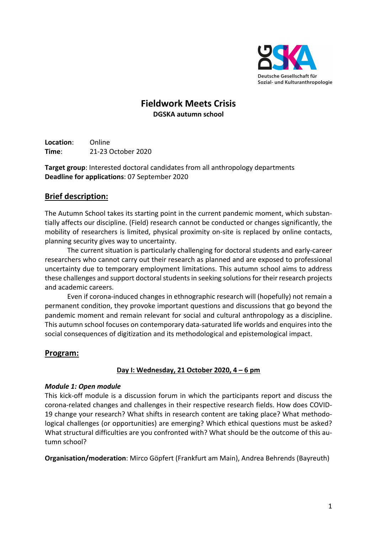

# **Fieldwork Meets Crisis DGSKA autumn school**

**Location**: Online **Time**: 21-23 October 2020

**Target group**: Interested doctoral candidates from all anthropology departments **Deadline for applications**: 07 September 2020

# **Brief description:**

The Autumn School takes its starting point in the current pandemic moment, which substantially affects our discipline. (Field) research cannot be conducted or changes significantly, the mobility of researchers is limited, physical proximity on-site is replaced by online contacts, planning security gives way to uncertainty.

The current situation is particularly challenging for doctoral students and early-career researchers who cannot carry out their research as planned and are exposed to professional uncertainty due to temporary employment limitations. This autumn school aims to address these challenges and support doctoral students in seeking solutions for their research projects and academic careers.

Even if corona-induced changes in ethnographic research will (hopefully) not remain a permanent condition, they provoke important questions and discussions that go beyond the pandemic moment and remain relevant for social and cultural anthropology as a discipline. This autumn school focuses on contemporary data-saturated life worlds and enquires into the social consequences of digitization and its methodological and epistemological impact.

## **Program:**

## **Day I: Wednesday, 21 October 2020, 4 – 6 pm**

#### *Module 1: Open module*

This kick-off module is a discussion forum in which the participants report and discuss the corona-related changes and challenges in their respective research fields. How does COVID-19 change your research? What shifts in research content are taking place? What methodological challenges (or opportunities) are emerging? Which ethical questions must be asked? What structural difficulties are you confronted with? What should be the outcome of this autumn school?

**Organisation/moderation**: Mirco Göpfert (Frankfurt am Main), Andrea Behrends (Bayreuth)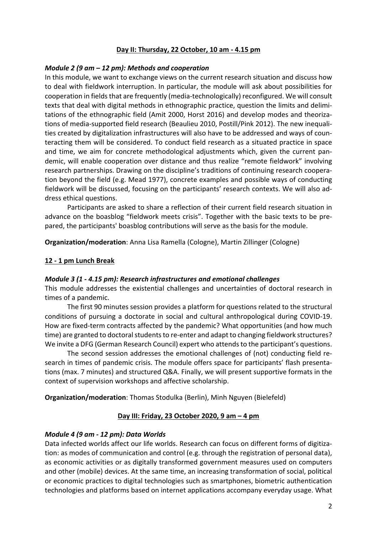#### **Day II: Thursday, 22 October, 10 am - 4.15 pm**

#### *Module 2 (9 am – 12 pm): Methods and cooperation*

In this module, we want to exchange views on the current research situation and discuss how to deal with fieldwork interruption. In particular, the module will ask about possibilities for cooperation in fields that are frequently (media-technologically) reconfigured. We will consult texts that deal with digital methods in ethnographic practice, question the limits and delimitations of the ethnographic field (Amit 2000, Horst 2016) and develop modes and theorizations of media-supported field research (Beaulieu 2010, Postill/Pink 2012). The new inequalities created by digitalization infrastructures will also have to be addressed and ways of counteracting them will be considered. To conduct field research as a situated practice in space and time, we aim for concrete methodological adjustments which, given the current pandemic, will enable cooperation over distance and thus realize "remote fieldwork" involving research partnerships. Drawing on the discipline's traditions of continuing research cooperation beyond the field (e.g. Mead 1977), concrete examples and possible ways of conducting fieldwork will be discussed, focusing on the participants' research contexts. We will also address ethical questions.

Participants are asked to share a reflection of their current field research situation in advance on the boasblog "fieldwork meets crisis". Together with the basic texts to be prepared, the participants' boasblog contributions will serve as the basis for the module.

**Organization/moderation**: Anna Lisa Ramella (Cologne), Martin Zillinger (Cologne)

## **12 - 1 pm Lunch Break**

## *Module 3 (1 - 4.15 pm): Research infrastructures and emotional challenges*

This module addresses the existential challenges and uncertainties of doctoral research in times of a pandemic.

The first 90 minutes session provides a platform for questions related to the structural conditions of pursuing a doctorate in social and cultural anthropological during COVID-19. How are fixed-term contracts affected by the pandemic? What opportunities (and how much time) are granted to doctoral students to re-enter and adapt to changing fieldwork structures? We invite a DFG (German Research Council) expert who attends to the participant's questions.

The second session addresses the emotional challenges of (not) conducting field research in times of pandemic crisis. The module offers space for participants' flash presentations (max. 7 minutes) and structured Q&A. Finally, we will present supportive formats in the context of supervision workshops and affective scholarship.

**Organization/moderation**: Thomas Stodulka (Berlin), Minh Nguyen (Bielefeld)

## **Day III: Friday, 23 October 2020, 9 am – 4 pm**

## *Module 4 (9 am - 12 pm): Data Worlds*

Data infected worlds affect our life worlds. Research can focus on different forms of digitization: as modes of communication and control (e.g. through the registration of personal data), as economic activities or as digitally transformed government measures used on computers and other (mobile) devices. At the same time, an increasing transformation of social, political or economic practices to digital technologies such as smartphones, biometric authentication technologies and platforms based on internet applications accompany everyday usage. What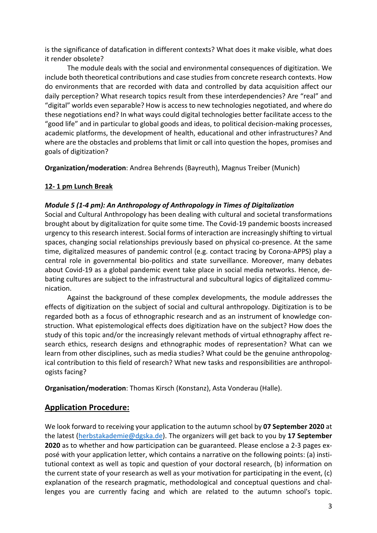is the significance of datafication in different contexts? What does it make visible, what does it render obsolete?

The module deals with the social and environmental consequences of digitization. We include both theoretical contributions and case studies from concrete research contexts. How do environments that are recorded with data and controlled by data acquisition affect our daily perception? What research topics result from these interdependencies? Are "real" and "digital" worlds even separable? How is access to new technologies negotiated, and where do these negotiations end? In what ways could digital technologies better facilitate access to the "good life" and in particular to global goods and ideas, to political decision-making processes, academic platforms, the development of health, educational and other infrastructures? And where are the obstacles and problems that limit or call into question the hopes, promises and goals of digitization?

**Organization/moderation**: Andrea Behrends (Bayreuth), Magnus Treiber (Munich)

## **12- 1 pm Lunch Break**

## *Module 5 (1-4 pm): An Anthropology of Anthropology in Times of Digitalization*

Social and Cultural Anthropology has been dealing with cultural and societal transformations brought about by digitalization for quite some time. The Covid-19 pandemic boosts increased urgency to this research interest. Social forms of interaction are increasingly shifting to virtual spaces, changing social relationships previously based on physical co-presence. At the same time, digitalized measures of pandemic control (e.g. contact tracing by Corona-APPS) play a central role in governmental bio-politics and state surveillance. Moreover, many debates about Covid-19 as a global pandemic event take place in social media networks. Hence, debating cultures are subject to the infrastructural and subcultural logics of digitalized communication.

Against the background of these complex developments, the module addresses the effects of digitization on the subject of social and cultural anthropology. Digitization is to be regarded both as a focus of ethnographic research and as an instrument of knowledge construction. What epistemological effects does digitization have on the subject? How does the study of this topic and/or the increasingly relevant methods of virtual ethnography affect research ethics, research designs and ethnographic modes of representation? What can we learn from other disciplines, such as media studies? What could be the genuine anthropological contribution to this field of research? What new tasks and responsibilities are anthropologists facing?

**Organisation/moderation**: Thomas Kirsch (Konstanz), Asta Vonderau (Halle).

# **Application Procedure:**

We look forward to receiving your application to the autumn school by **07 September 2020** at the latest (herbstakademie@dgska.de). The organizers will get back to you by **17 September 2020** as to whether and how participation can be guaranteed. Please enclose a 2-3 pages exposé with your application letter, which contains a narrative on the following points: (a) institutional context as well as topic and question of your doctoral research, (b) information on the current state of your research as well as your motivation for participating in the event, (c) explanation of the research pragmatic, methodological and conceptual questions and challenges you are currently facing and which are related to the autumn school's topic.